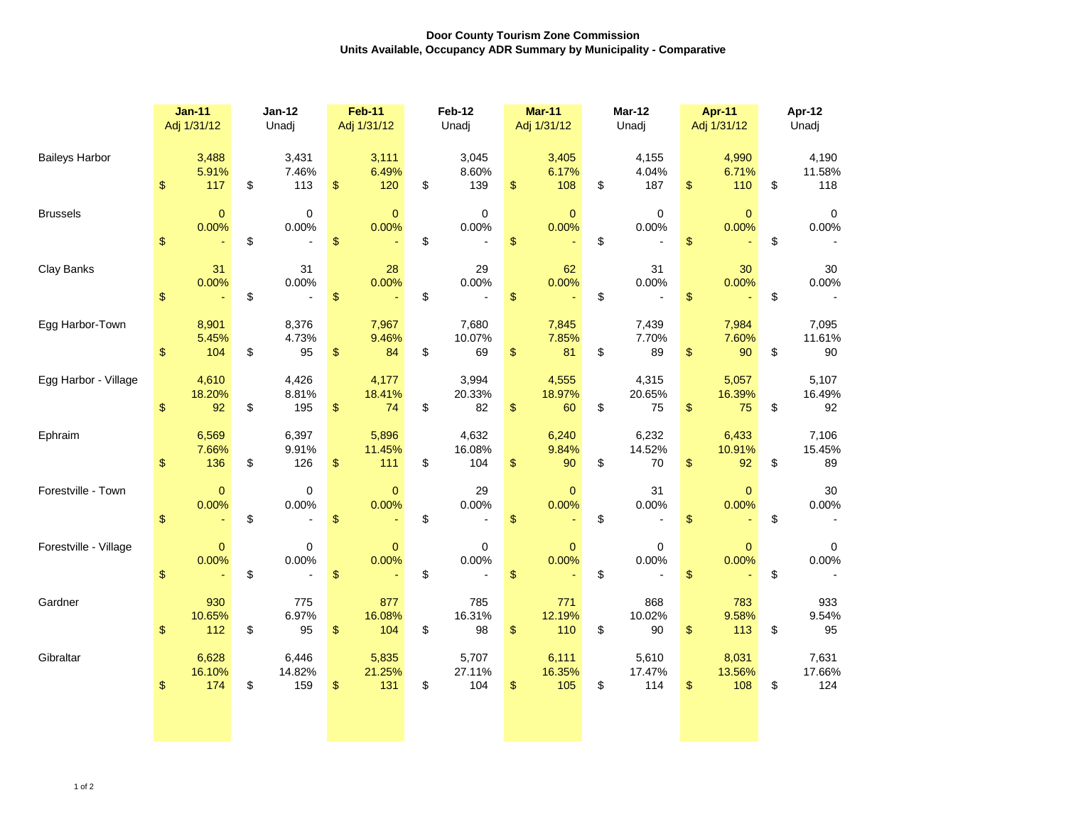## **Door County Tourism Zone Commission Units Available, Occupancy ADR Summary by Municipality - Comparative**

|                       | <b>Jan-11</b><br>Adj 1/31/12 |                        | <b>Jan-12</b><br>Unadj |                        | <b>Feb-11</b><br>Adj 1/31/12 |                        | Feb-12<br>Unadj |                                        | <b>Mar-11</b><br>Adj 1/31/12 |                        | <b>Mar-12</b><br>Unadj |                           | <b>Apr-11</b><br>Adj 1/31/12 |                        | Apr-12<br>Unadj |                        |
|-----------------------|------------------------------|------------------------|------------------------|------------------------|------------------------------|------------------------|-----------------|----------------------------------------|------------------------------|------------------------|------------------------|---------------------------|------------------------------|------------------------|-----------------|------------------------|
| <b>Baileys Harbor</b> | $\boldsymbol{\$}$            | 3,488<br>5.91%<br>117  | \$                     | 3,431<br>7.46%<br>113  | \$                           | 3,111<br>6.49%<br>120  | \$              | 3,045<br>8.60%<br>139                  | \$                           | 3,405<br>6.17%<br>108  | \$                     | 4,155<br>4.04%<br>187     | $\boldsymbol{\$}$            | 4,990<br>6.71%<br>110  | \$              | 4,190<br>11.58%<br>118 |
| <b>Brussels</b>       | $\boldsymbol{\$}$            | $\mathbf{0}$<br>0.00%  | \$                     | $\pmb{0}$<br>0.00%     | \$                           | $\mathbf 0$<br>0.00%   | \$              | $\mathbf 0$<br>0.00%<br>$\overline{a}$ | \$                           | $\pmb{0}$<br>0.00%     | \$                     | $\pmb{0}$<br>0.00%        | $\boldsymbol{\$}$            | $\mathbf{0}$<br>0.00%  | \$              | $\mathbf 0$<br>0.00%   |
| Clay Banks            | \$                           | 31<br>0.00%            | \$                     | 31<br>0.00%            | $\boldsymbol{\$}$            | 28<br>0.00%            | \$              | 29<br>0.00%                            | $\,$                         | 62<br>0.00%            | \$                     | 31<br>0.00%               | $\boldsymbol{\$}$            | 30<br>0.00%            | \$              | $30\,$<br>0.00%        |
| Egg Harbor-Town       | \$                           | 8,901<br>5.45%<br>104  | \$                     | 8,376<br>4.73%<br>95   | \$                           | 7,967<br>9.46%<br>84   | \$              | 7,680<br>10.07%<br>69                  | \$                           | 7,845<br>7.85%<br>81   | \$                     | 7,439<br>7.70%<br>89      | $\boldsymbol{\$}$            | 7,984<br>7.60%<br>90   | \$              | 7,095<br>11.61%<br>90  |
| Egg Harbor - Village  | $\,$                         | 4,610<br>18.20%<br>92  | \$                     | 4,426<br>8.81%<br>195  | \$                           | 4,177<br>18.41%<br>74  | \$              | 3,994<br>20.33%<br>82                  | $\,$                         | 4,555<br>18.97%<br>60  | \$                     | 4,315<br>20.65%<br>75     | $\boldsymbol{\$}$            | 5,057<br>16.39%<br>75  | \$              | 5,107<br>16.49%<br>92  |
| Ephraim               | $\boldsymbol{\$}$            | 6,569<br>7.66%<br>136  | \$                     | 6,397<br>9.91%<br>126  | \$                           | 5,896<br>11.45%<br>111 | \$              | 4,632<br>16.08%<br>104                 | $\,$                         | 6,240<br>9.84%<br>90   | \$                     | 6,232<br>14.52%<br>$70\,$ | $\boldsymbol{\$}$            | 6,433<br>10.91%<br>92  | \$              | 7,106<br>15.45%<br>89  |
| Forestville - Town    | $\sqrt[6]{\frac{1}{2}}$      | $\mathbf{0}$<br>0.00%  | \$                     | $\mathbf 0$<br>0.00%   | \$                           | $\mathbf{0}$<br>0.00%  | \$              | 29<br>0.00%                            | \$                           | $\mathbf{0}$<br>0.00%  | \$                     | 31<br>0.00%               | $\boldsymbol{\$}$            | $\mathbf{0}$<br>0.00%  | \$              | 30<br>0.00%            |
| Forestville - Village | $\sqrt[6]{\frac{1}{2}}$      | $\mathbf{0}$<br>0.00%  | \$                     | $\mathbf 0$<br>0.00%   | $\frac{1}{2}$                | $\mathbf{0}$<br>0.00%  | \$              | 0<br>0.00%<br>$\overline{a}$           | \$                           | $\mathbf 0$<br>0.00%   | \$                     | $\mathbf 0$<br>0.00%      | $\boldsymbol{\mathsf{S}}$    | $\mathbf{0}$<br>0.00%  | \$              | 0<br>0.00%             |
| Gardner               | \$                           | 930<br>10.65%<br>112   | \$                     | 775<br>6.97%<br>95     | \$                           | 877<br>16.08%<br>104   | \$              | 785<br>16.31%<br>98                    | \$                           | 771<br>12.19%<br>110   | \$                     | 868<br>10.02%<br>90       | \$                           | 783<br>9.58%<br>113    | \$              | 933<br>9.54%<br>95     |
| Gibraltar             | \$                           | 6,628<br>16.10%<br>174 | \$                     | 6,446<br>14.82%<br>159 | \$                           | 5,835<br>21.25%<br>131 | \$              | 5,707<br>27.11%<br>104                 | \$                           | 6,111<br>16.35%<br>105 | \$                     | 5,610<br>17.47%<br>114    | $\boldsymbol{\$}$            | 8,031<br>13.56%<br>108 | \$              | 7,631<br>17.66%<br>124 |
|                       |                              |                        |                        |                        |                              |                        |                 |                                        |                              |                        |                        |                           |                              |                        |                 |                        |